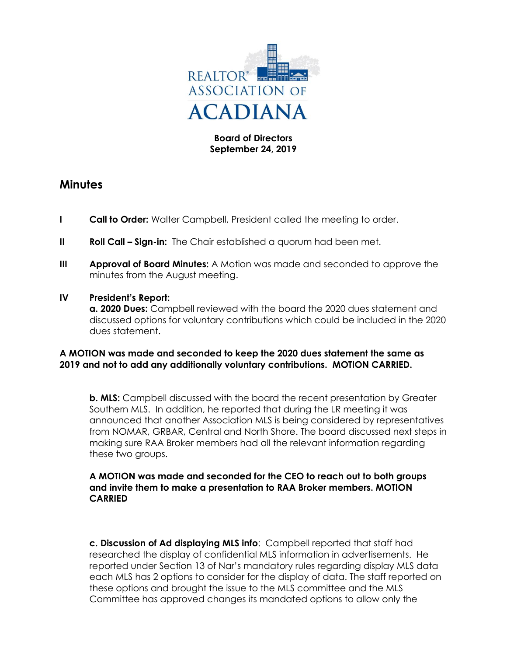

# **Board of Directors September 24, 2019**

# **Minutes**

- **I Call to Order:** Walter Campbell, President called the meeting to order.
- **II Roll Call Sign-in:** The Chair established a quorum had been met.
- **III Approval of Board Minutes:** A Motion was made and seconded to approve the minutes from the August meeting.

## **IV President's Report:**

**a. 2020 Dues:** Campbell reviewed with the board the 2020 dues statement and discussed options for voluntary contributions which could be included in the 2020 dues statement.

## **A MOTION was made and seconded to keep the 2020 dues statement the same as 2019 and not to add any additionally voluntary contributions. MOTION CARRIED.**

**b. MLS:** Campbell discussed with the board the recent presentation by Greater Southern MLS. In addition, he reported that during the LR meeting it was announced that another Association MLS is being considered by representatives from NOMAR, GRBAR, Central and North Shore. The board discussed next steps in making sure RAA Broker members had all the relevant information regarding these two groups.

## **A MOTION was made and seconded for the CEO to reach out to both groups and invite them to make a presentation to RAA Broker members. MOTION CARRIED**

**c. Discussion of Ad displaying MLS info**: Campbell reported that staff had researched the display of confidential MLS information in advertisements. He reported under Section 13 of Nar's mandatory rules regarding display MLS data each MLS has 2 options to consider for the display of data. The staff reported on these options and brought the issue to the MLS committee and the MLS Committee has approved changes its mandated options to allow only the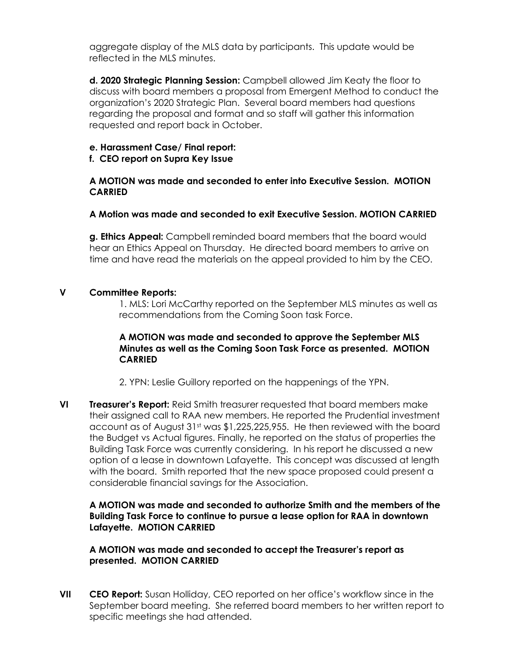aggregate display of the MLS data by participants. This update would be reflected in the MLS minutes.

**d. 2020 Strategic Planning Session:** Campbell allowed Jim Keaty the floor to discuss with board members a proposal from Emergent Method to conduct the organization's 2020 Strategic Plan. Several board members had questions regarding the proposal and format and so staff will gather this information requested and report back in October.

#### **e. Harassment Case/ Final report:**

## **f. CEO report on Supra Key Issue**

## **A MOTION was made and seconded to enter into Executive Session. MOTION CARRIED**

## **A Motion was made and seconded to exit Executive Session. MOTION CARRIED**

**g. Ethics Appeal:** Campbell reminded board members that the board would hear an Ethics Appeal on Thursday. He directed board members to arrive on time and have read the materials on the appeal provided to him by the CEO.

## **V Committee Reports:**

1. MLS: Lori McCarthy reported on the September MLS minutes as well as recommendations from the Coming Soon task Force.

## **A MOTION was made and seconded to approve the September MLS Minutes as well as the Coming Soon Task Force as presented. MOTION CARRIED**

2. YPN: Leslie Guillory reported on the happenings of the YPN.

**VI Treasurer's Report:** Reid Smith treasurer requested that board members make their assigned call to RAA new members. He reported the Prudential investment account as of August 31st was \$1,225,225,955. He then reviewed with the board the Budget vs Actual figures. Finally, he reported on the status of properties the Building Task Force was currently considering. In his report he discussed a new option of a lease in downtown Lafayette. This concept was discussed at length with the board. Smith reported that the new space proposed could present a considerable financial savings for the Association.

# **A MOTION was made and seconded to authorize Smith and the members of the Building Task Force to continue to pursue a lease option for RAA in downtown Lafayette. MOTION CARRIED**

## **A MOTION was made and seconded to accept the Treasurer's report as presented. MOTION CARRIED**

**VII CEO Report:** Susan Holliday, CEO reported on her office's workflow since in the September board meeting. She referred board members to her written report to specific meetings she had attended.